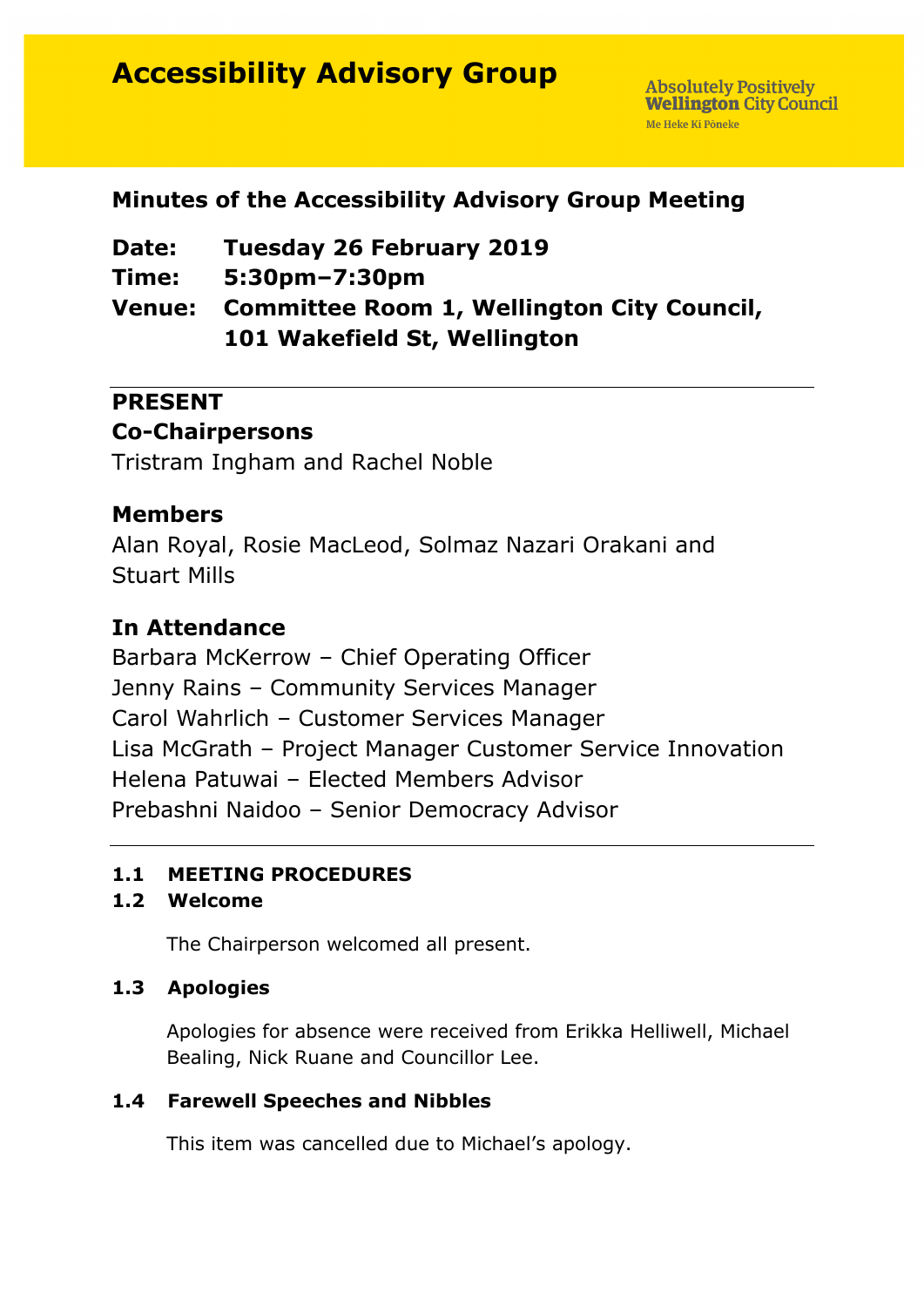# **Accessibility Advisory Group**

# **Minutes of the Accessibility Advisory Group Meeting**

| <b>Date:</b> | <b>Tuesday 26 February 2019</b>                   |
|--------------|---------------------------------------------------|
| Time:        | 5:30pm-7:30pm                                     |
|              | Venue: Committee Room 1, Wellington City Council, |
|              | 101 Wakefield St, Wellington                      |

# **PRESENT**

# **Co-Chairpersons**

Tristram Ingham and Rachel Noble

## **Members**

Alan Royal, Rosie MacLeod, Solmaz Nazari Orakani and Stuart Mills

# **In Attendance**

Barbara McKerrow – Chief Operating Officer Jenny Rains – Community Services Manager Carol Wahrlich – Customer Services Manager Lisa McGrath – Project Manager Customer Service Innovation Helena Patuwai – Elected Members Advisor Prebashni Naidoo – Senior Democracy Advisor

## **1.1 MEETING PROCEDURES**

## **1.2 Welcome**

The Chairperson welcomed all present.

## **1.3 Apologies**

Apologies for absence were received from Erikka Helliwell, Michael Bealing, Nick Ruane and Councillor Lee.

#### **1.4 Farewell Speeches and Nibbles**

This item was cancelled due to Michael's apology.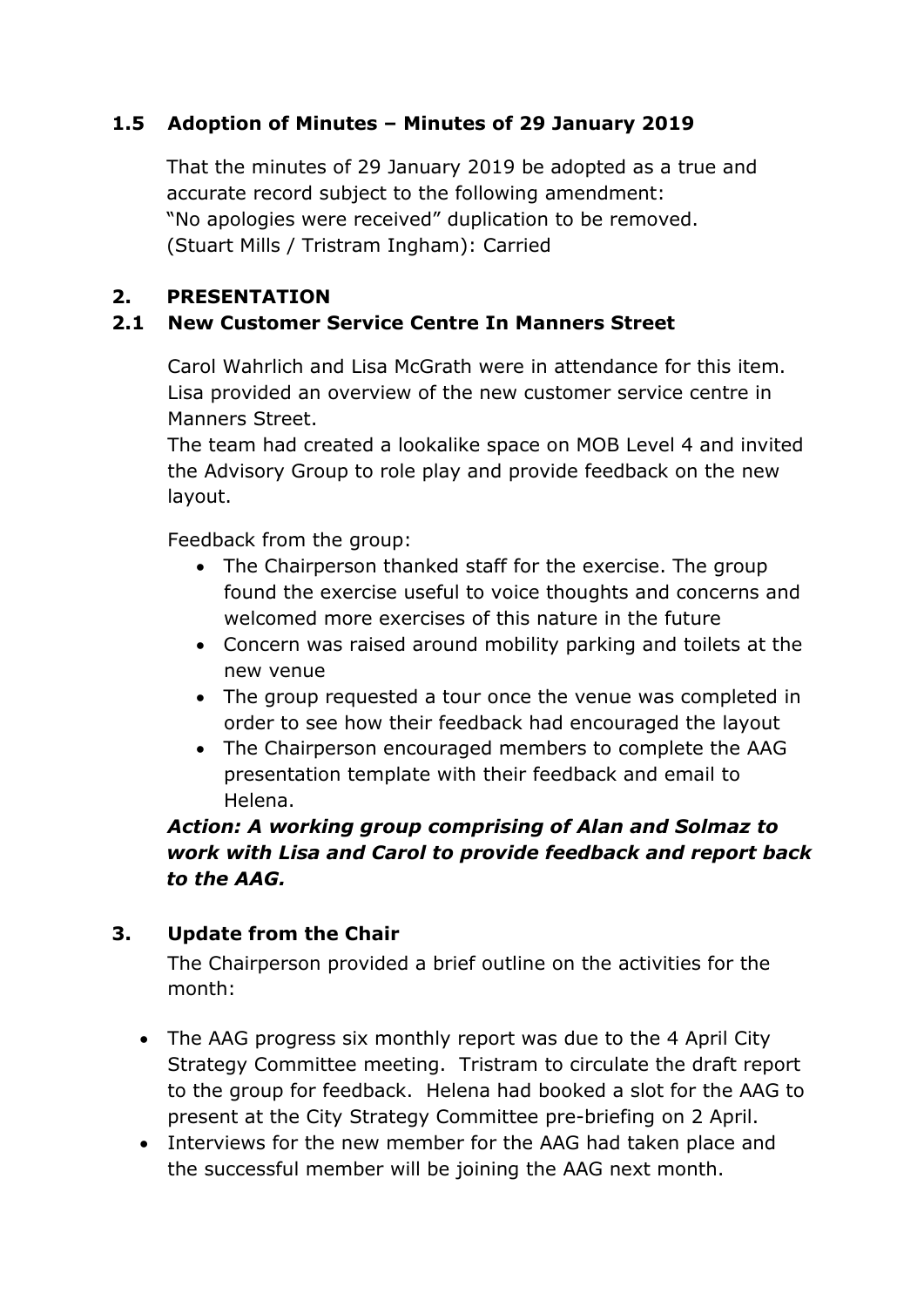## **1.5 Adoption of Minutes – Minutes of 29 January 2019**

That the minutes of 29 January 2019 be adopted as a true and accurate record subject to the following amendment: "No apologies were received" duplication to be removed. (Stuart Mills / Tristram Ingham): Carried

#### **2. PRESENTATION**

#### **2.1 New Customer Service Centre In Manners Street**

Carol Wahrlich and Lisa McGrath were in attendance for this item. Lisa provided an overview of the new customer service centre in Manners Street.

The team had created a lookalike space on MOB Level 4 and invited the Advisory Group to role play and provide feedback on the new layout.

Feedback from the group:

- The Chairperson thanked staff for the exercise. The group found the exercise useful to voice thoughts and concerns and welcomed more exercises of this nature in the future
- Concern was raised around mobility parking and toilets at the new venue
- The group requested a tour once the venue was completed in order to see how their feedback had encouraged the layout
- The Chairperson encouraged members to complete the AAG presentation template with their feedback and email to Helena.

*Action: A working group comprising of Alan and Solmaz to work with Lisa and Carol to provide feedback and report back to the AAG.* 

#### **3. Update from the Chair**

The Chairperson provided a brief outline on the activities for the month:

- The AAG progress six monthly report was due to the 4 April City Strategy Committee meeting. Tristram to circulate the draft report to the group for feedback. Helena had booked a slot for the AAG to present at the City Strategy Committee pre-briefing on 2 April.
- Interviews for the new member for the AAG had taken place and the successful member will be joining the AAG next month.